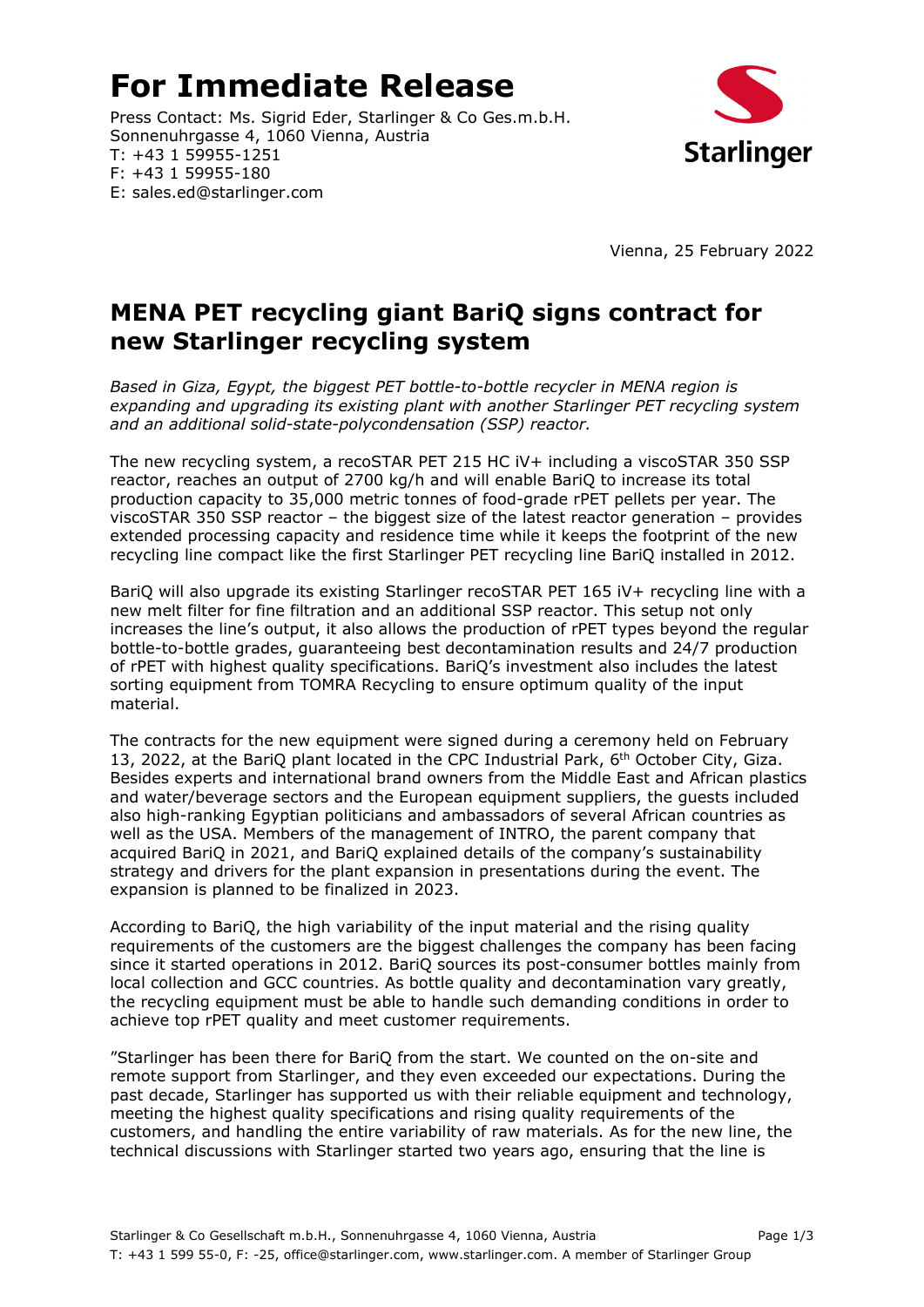# **For Immediate Release**

Press Contact: Ms. Sigrid Eder, Starlinger & Co Ges.m.b.H. Sonnenuhrgasse 4, 1060 Vienna, Austria T: +43 1 59955-1251 F: +43 1 59955-180 E: sales.ed@starlinger.com



Vienna, 25 February 2022

## **MENA PET recycling giant BariQ signs contract for new Starlinger recycling system**

*Based in Giza, Egypt, the biggest PET bottle-to-bottle recycler in MENA region is expanding and upgrading its existing plant with another Starlinger PET recycling system and an additional solid-state-polycondensation (SSP) reactor.* 

The new recycling system, a recoSTAR PET 215 HC iV+ including a viscoSTAR 350 SSP reactor, reaches an output of 2700 kg/h and will enable BariQ to increase its total production capacity to 35,000 metric tonnes of food-grade rPET pellets per year. The viscoSTAR 350 SSP reactor – the biggest size of the latest reactor generation – provides extended processing capacity and residence time while it keeps the footprint of the new recycling line compact like the first Starlinger PET recycling line BariQ installed in 2012.

BariQ will also upgrade its existing Starlinger recoSTAR PET 165 iV+ recycling line with a new melt filter for fine filtration and an additional SSP reactor. This setup not only increases the line's output, it also allows the production of rPET types beyond the regular bottle-to-bottle grades, guaranteeing best decontamination results and 24/7 production of rPET with highest quality specifications. BariQ's investment also includes the latest sorting equipment from TOMRA Recycling to ensure optimum quality of the input material.

The contracts for the new equipment were signed during a ceremony held on February 13, 2022, at the BariQ plant located in the CPC Industrial Park, 6<sup>th</sup> October City, Giza. Besides experts and international brand owners from the Middle East and African plastics and water/beverage sectors and the European equipment suppliers, the guests included also high-ranking Egyptian politicians and ambassadors of several African countries as well as the USA. Members of the management of INTRO, the parent company that acquired BariQ in 2021, and BariQ explained details of the company's sustainability strategy and drivers for the plant expansion in presentations during the event. The expansion is planned to be finalized in 2023.

According to BariQ, the high variability of the input material and the rising quality requirements of the customers are the biggest challenges the company has been facing since it started operations in 2012. BariQ sources its post-consumer bottles mainly from local collection and GCC countries. As bottle quality and decontamination vary greatly, the recycling equipment must be able to handle such demanding conditions in order to achieve top rPET quality and meet customer requirements.

"Starlinger has been there for BariQ from the start. We counted on the on-site and remote support from Starlinger, and they even exceeded our expectations. During the past decade, Starlinger has supported us with their reliable equipment and technology, meeting the highest quality specifications and rising quality requirements of the customers, and handling the entire variability of raw materials. As for the new line, the technical discussions with Starlinger started two years ago, ensuring that the line is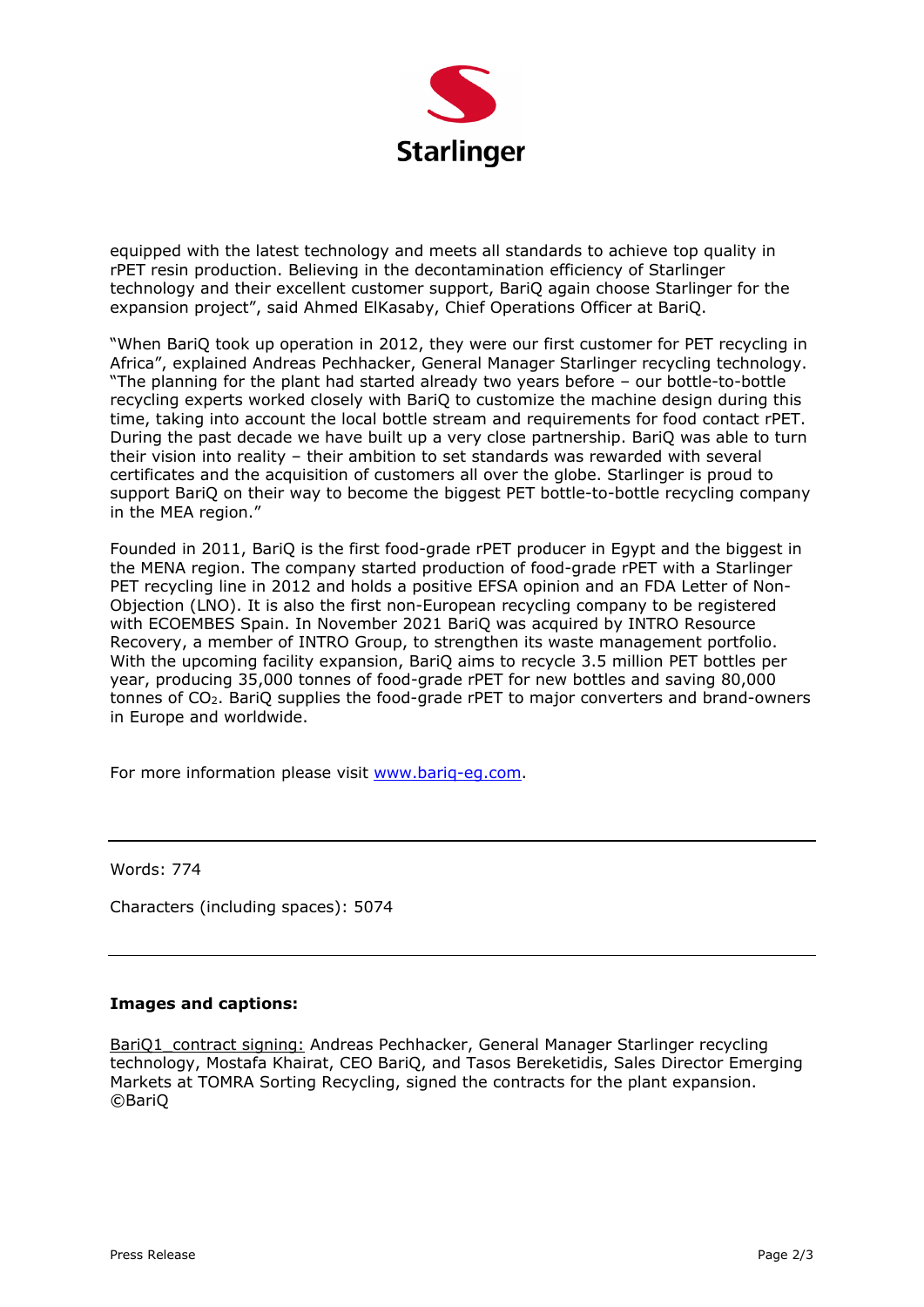

equipped with the latest technology and meets all standards to achieve top quality in rPET resin production. Believing in the decontamination efficiency of Starlinger technology and their excellent customer support, BariQ again choose Starlinger for the expansion project", said Ahmed ElKasaby, Chief Operations Officer at BariQ.

"When BariQ took up operation in 2012, they were our first customer for PET recycling in Africa", explained Andreas Pechhacker, General Manager Starlinger recycling technology. "The planning for the plant had started already two years before – our bottle-to-bottle recycling experts worked closely with BariQ to customize the machine design during this time, taking into account the local bottle stream and requirements for food contact rPET. During the past decade we have built up a very close partnership. BariQ was able to turn their vision into reality – their ambition to set standards was rewarded with several certificates and the acquisition of customers all over the globe. Starlinger is proud to support BariQ on their way to become the biggest PET bottle-to-bottle recycling company in the MEA region."

Founded in 2011, BariQ is the first food-grade rPET producer in Egypt and the biggest in the MENA region. The company started production of food-grade rPET with a Starlinger PET recycling line in 2012 and holds a positive EFSA opinion and an FDA Letter of Non-Objection (LNO). It is also the first non-European recycling company to be registered with ECOEMBES Spain. In November 2021 BariQ was acquired by INTRO Resource Recovery, a member of INTRO Group, to strengthen its waste management portfolio. With the upcoming facility expansion, BariQ aims to recycle 3.5 million PET bottles per year, producing 35,000 tonnes of food-grade rPET for new bottles and saving 80,000 tonnes of CO2. BariQ supplies the food-grade rPET to major converters and brand-owners in Europe and worldwide.

For more information please visit www.bariq-eg.com.

Words: 774

Characters (including spaces): 5074

### **Images and captions:**

BariQ1\_contract signing: Andreas Pechhacker, General Manager Starlinger recycling technology, Mostafa Khairat, CEO BariQ, and Tasos Bereketidis, Sales Director Emerging Markets at TOMRA Sorting Recycling, signed the contracts for the plant expansion. ©BariQ